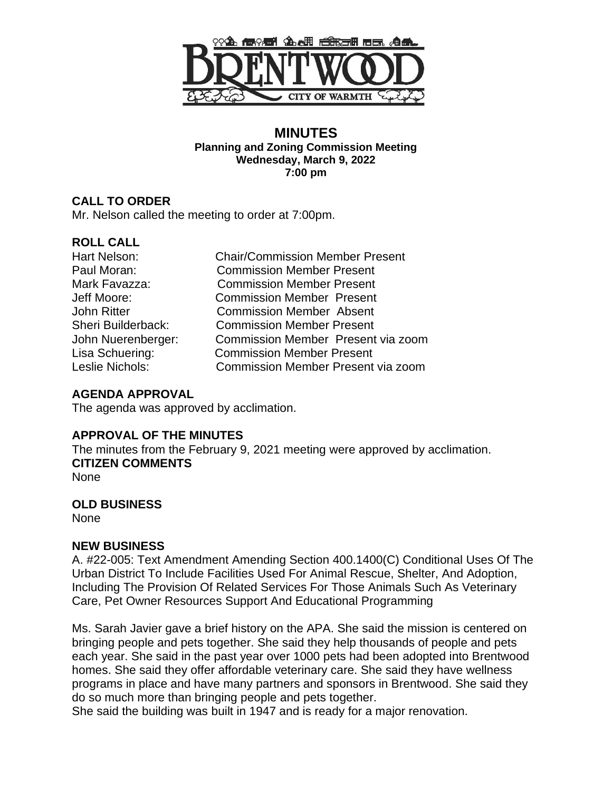

#### **MINUTES Planning and Zoning Commission Meeting Wednesday, March 9, 2022 7:00 pm**

#### **CALL TO ORDER** Mr. Nelson called the meeting to order at 7:00pm.

## **ROLL CALL**

| Hart Nelson:       |
|--------------------|
| Paul Moran:        |
| Mark Favazza:      |
| Jeff Moore:        |
| <b>John Ritter</b> |
| Sheri Builderback: |
| John Nuerenberger: |
| Lisa Schuering:    |
| Leslie Nichols:    |

Chair/Commission Member Present **Commission Member Present Commission Member Present Commission Member Present** Commission Member Absent **Commission Member Present** Commission Member Present via zoom **Commission Member Present** Commission Member Present via zoom

# **AGENDA APPROVAL**

The agenda was approved by acclimation.

## **APPROVAL OF THE MINUTES**

The minutes from the February 9, 2021 meeting were approved by acclimation. **CITIZEN COMMENTS** None

## **OLD BUSINESS**

None

## **NEW BUSINESS**

A. #22-005: Text Amendment Amending Section 400.1400(C) Conditional Uses Of The Urban District To Include Facilities Used For Animal Rescue, Shelter, And Adoption, Including The Provision Of Related Services For Those Animals Such As Veterinary Care, Pet Owner Resources Support And Educational Programming

Ms. Sarah Javier gave a brief history on the APA. She said the mission is centered on bringing people and pets together. She said they help thousands of people and pets each year. She said in the past year over 1000 pets had been adopted into Brentwood homes. She said they offer affordable veterinary care. She said they have wellness programs in place and have many partners and sponsors in Brentwood. She said they do so much more than bringing people and pets together.

She said the building was built in 1947 and is ready for a major renovation.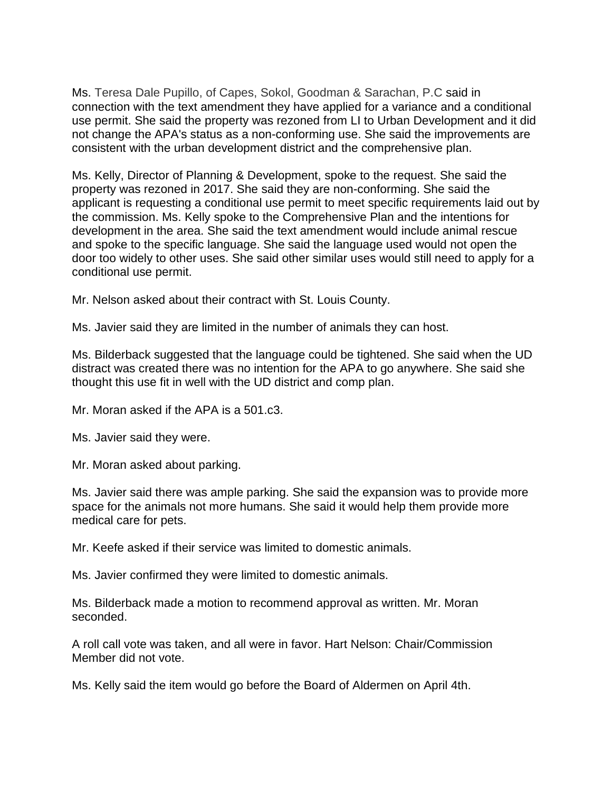Ms. Teresa Dale Pupillo, of Capes, Sokol, Goodman & Sarachan, P.C said in connection with the text amendment they have applied for a variance and a conditional use permit. She said the property was rezoned from LI to Urban Development and it did not change the APA's status as a non-conforming use. She said the improvements are consistent with the urban development district and the comprehensive plan.

Ms. Kelly, Director of Planning & Development, spoke to the request. She said the property was rezoned in 2017. She said they are non-conforming. She said the applicant is requesting a conditional use permit to meet specific requirements laid out by the commission. Ms. Kelly spoke to the Comprehensive Plan and the intentions for development in the area. She said the text amendment would include animal rescue and spoke to the specific language. She said the language used would not open the door too widely to other uses. She said other similar uses would still need to apply for a conditional use permit.

Mr. Nelson asked about their contract with St. Louis County.

Ms. Javier said they are limited in the number of animals they can host.

Ms. Bilderback suggested that the language could be tightened. She said when the UD distract was created there was no intention for the APA to go anywhere. She said she thought this use fit in well with the UD district and comp plan.

Mr. Moran asked if the APA is a 501.c3.

Ms. Javier said they were.

Mr. Moran asked about parking.

Ms. Javier said there was ample parking. She said the expansion was to provide more space for the animals not more humans. She said it would help them provide more medical care for pets.

Mr. Keefe asked if their service was limited to domestic animals.

Ms. Javier confirmed they were limited to domestic animals.

Ms. Bilderback made a motion to recommend approval as written. Mr. Moran seconded.

A roll call vote was taken, and all were in favor. Hart Nelson: Chair/Commission Member did not vote.

Ms. Kelly said the item would go before the Board of Aldermen on April 4th.